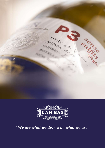



*"We are what we do, we do what we are"*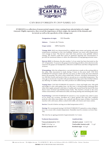

D'ORIGEA 700% XAF

### CAN BAS D'ORIGEN P3 2019 XAREL·LO

### **D'ORIGEN is a collection of monovarietal organic wines coming from selected plots of a single vineyard. Highly expressive, they reveal the importance of their origin, the typicity of the domain and**  its terroir as well as the specificity of the vintage year.



**Designation of origin Subarea Grape variety** DO Penedès Costers de l'Anoia 100% Xarel·lo

**Vintage 2019:** 2019 was characterized by a slightly rainy winter and spring with mild temperatures resulting in a late vine budding. Summer was warm with temperatures over average in June. The harvest came later than previous years globally without raining. The Xarel·lo could thus reach its optimum ripening and concentration to provide the maximum balance to allow the elaboration of long ageing potential wines.

**Harvest 2019:** La Romana, the plot number 3 of our estate has been harvested on the  $24<sup>th</sup>$  of September. To preserve the grapes from bursting and allow a first selection in the vineyard, the grapes are handpicked, collected in small boxes and then refrigerated for 24 hours.

Winemaking: After the refrigeration, a second selection is made on the sorting table in the cellar. Skin maceration is made during 3 hours in the press itself. CAN BAS D'ORIGEN P3 natural is made with free run must, in other words, the must obtained before the pressing. The wine is then settled after 36 hours. Alcoholic fermentation in two 500-liter French oak barrels of first or second use at a controlled temperature. The wine age on its lees for 6 months with periodical *battonage* and is then bottled without any filtering. No sulfites either any other products are added during winemaking.t

**Tasting Note:** CAN BAS D'ORIGEN P3 natural is a clean and bright wine. Pale gold and bright in color with golden hues. On the nose, a strong bouquet featuring ripen white fruit (apple and pear) with hints of vanilla and coconut from the barrel. The nose shows tones of fennel and Mediterranean herbs. This Xarel·lo is broad on the entry withan extraordinary well-balanced acidity and along-lasting and refreshing after taste.

**Food Pairing:** CAN BAS D'ORIGEN P3 natural is a very versatile wine, ideal to enjoy on its ownat any occasion. Excellent for a great aperitif, this wine also combines perfectly with white meat dishes, rice, seafood, and diverse types of fishes. It perfectly matches with cold meats, dishes cooked with truffle, soft cheese and Asian cuisine.

Service: Uncork it before serving at an ideal temperature of 8°C.

**Storing:** We recommend storing CAN BAS D'ORIGEN P3 natural in a wine refrigerator or in a room with a steady temperature. Humidity must be constant, no lower than 70%.

The wine has an ageing potential of approximately 2 to 3 years.

#### **Technical characteristics**

**Yield** 15314 kg / ac **Bottles produced** 1403 **Vineyard planted in** 1958 **Analytical data**

**Alcohol content** 14.48 % Vol **Total acidity (tartaric acid)** 7,1 g/l **Residual sugar** 0,32 g/l